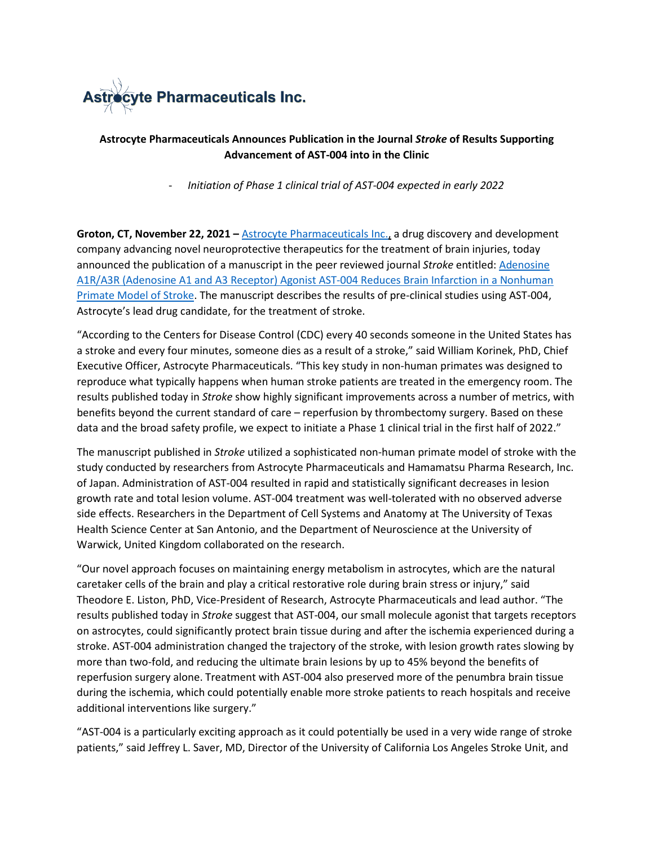

## **Astrocyte Pharmaceuticals Announces Publication in the Journal** *Stroke* **of Results Supporting Advancement of AST-004 into in the Clinic**

- *Initiation of Phase 1 clinical trial of AST-004 expected in early 2022*

**Groton, CT, November 22, 2021 –** [Astrocyte Pharmaceuticals Inc.,](https://www.astrocytepharma.com/) a drug discovery and development company advancing novel neuroprotective therapeutics for the treatment of brain injuries, today announced the publication of a manuscript in the peer reviewed journal *Stroke* entitled: [Adenosine](https://www.ahajournals.org/doi/abs/10.1161/STROKEAHA.121.036396)  [A1R/A3R \(Adenosine A1 and A3 Receptor\) Agonist AST-004 Reduces Brain Infarction in a Nonhuman](https://www.ahajournals.org/doi/abs/10.1161/STROKEAHA.121.036396)  [Primate Model of Stroke.](https://www.ahajournals.org/doi/abs/10.1161/STROKEAHA.121.036396) The manuscript describes the results of pre-clinical studies using AST-004, Astrocyte's lead drug candidate, for the treatment of stroke.

"According to the Centers for Disease Control (CDC) every 40 seconds someone in the United States has a stroke and every four minutes, someone dies as a result of a stroke," said William Korinek, PhD, Chief Executive Officer, Astrocyte Pharmaceuticals. "This key study in non-human primates was designed to reproduce what typically happens when human stroke patients are treated in the emergency room. The results published today in *Stroke* show highly significant improvements across a number of metrics, with benefits beyond the current standard of care – reperfusion by thrombectomy surgery. Based on these data and the broad safety profile, we expect to initiate a Phase 1 clinical trial in the first half of 2022."

The manuscript published in *Stroke* utilized a sophisticated non-human primate model of stroke with the study conducted by researchers from Astrocyte Pharmaceuticals and Hamamatsu Pharma Research, Inc. of Japan. Administration of AST-004 resulted in rapid and statistically significant decreases in lesion growth rate and total lesion volume. AST-004 treatment was well-tolerated with no observed adverse side effects. Researchers in the Department of Cell Systems and Anatomy at The University of Texas Health Science Center at San Antonio, and the Department of Neuroscience at the University of Warwick, United Kingdom collaborated on the research.

"Our novel approach focuses on maintaining energy metabolism in astrocytes, which are the natural caretaker cells of the brain and play a critical restorative role during brain stress or injury," said Theodore E. Liston, PhD, Vice-President of Research, Astrocyte Pharmaceuticals and lead author. "The results published today in *Stroke* suggest that AST-004, our small molecule agonist that targets receptors on astrocytes, could significantly protect brain tissue during and after the ischemia experienced during a stroke. AST-004 administration changed the trajectory of the stroke, with lesion growth rates slowing by more than two-fold, and reducing the ultimate brain lesions by up to 45% beyond the benefits of reperfusion surgery alone. Treatment with AST-004 also preserved more of the penumbra brain tissue during the ischemia, which could potentially enable more stroke patients to reach hospitals and receive additional interventions like surgery."

"AST-004 is a particularly exciting approach as it could potentially be used in a very wide range of stroke patients," said Jeffrey L. Saver, MD, Director of the University of California Los Angeles Stroke Unit, and